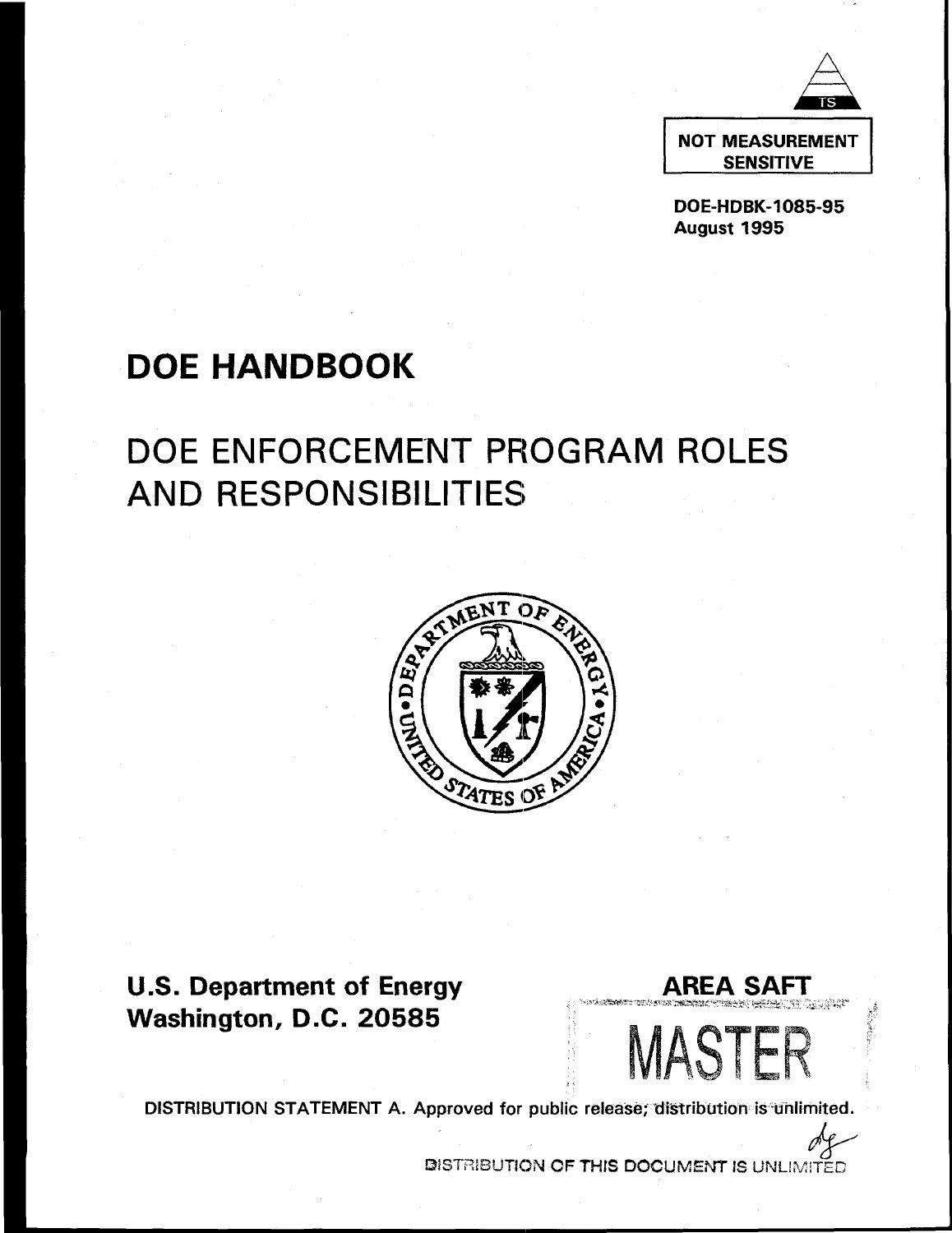

**NOT MEASUREMENT SENSITIVE**

**DOE-HDBK-1085-95 August 1995**

# **DOE HANDBOOK**

# DOE ENFORCEMENT PROGRAM ROLES AND RESPONSIBILITIES



**U.S. Department of Energy Washington, D.C. 20585**

DISTRIBUTION STATEMENT A. Approved for public release; distribution is unlimited.

DISTRIBUTION OF THIS DOCUMENT IS UNLIMITED

**AREA SAFT**

MASTER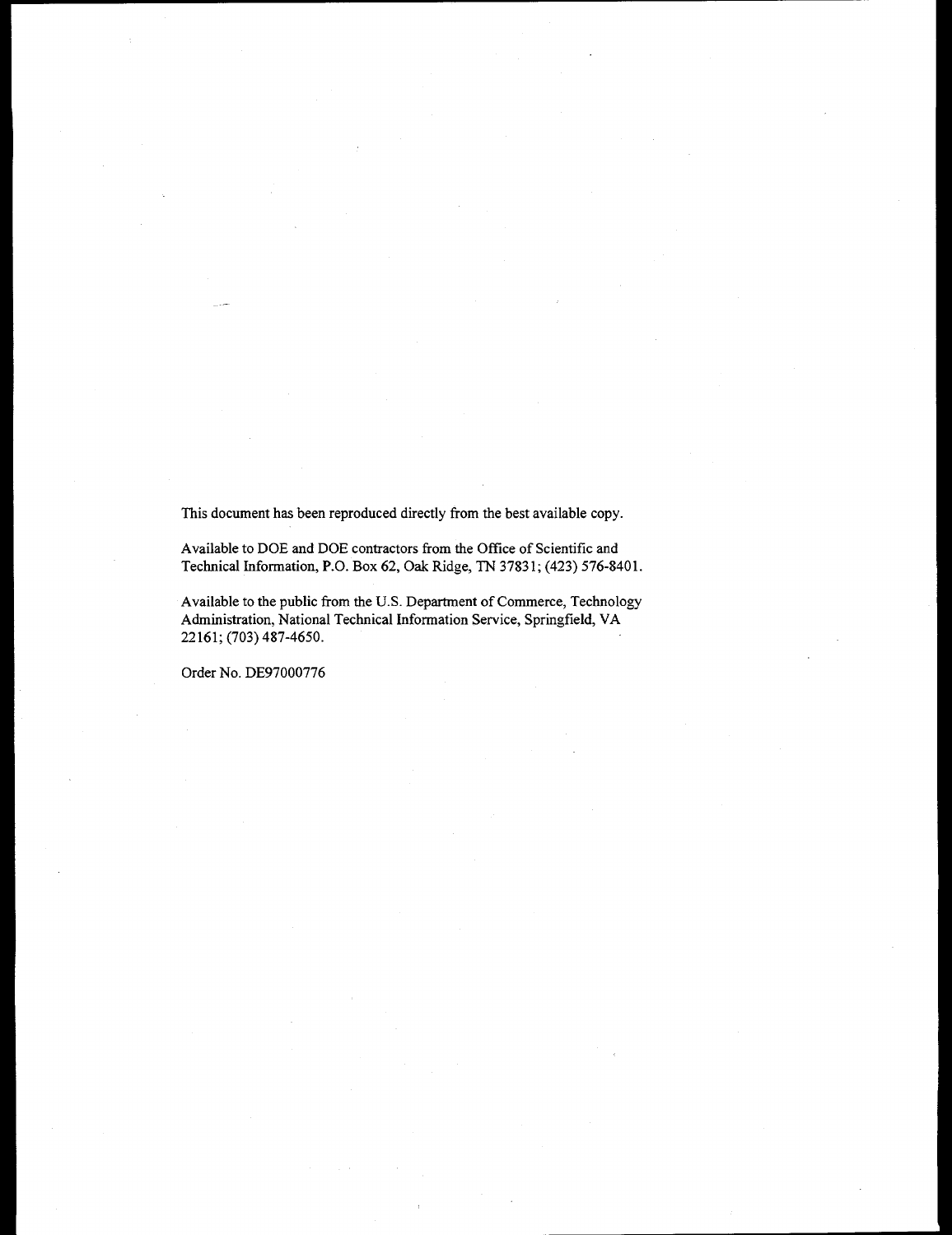This document has been reproduced directly from the best available copy.

Available to DOE and DOE contractors from the Office of Scientific and Technical Information, P.O. Box 62, Oak Ridge, TN 37831; (423) 576-8401.

Available to the public from the U.S. Department of Commerce, Technology Administration, National Technical Information Service, Springfield, VA 22161; (703) 487-4650.

Order No. DE97000776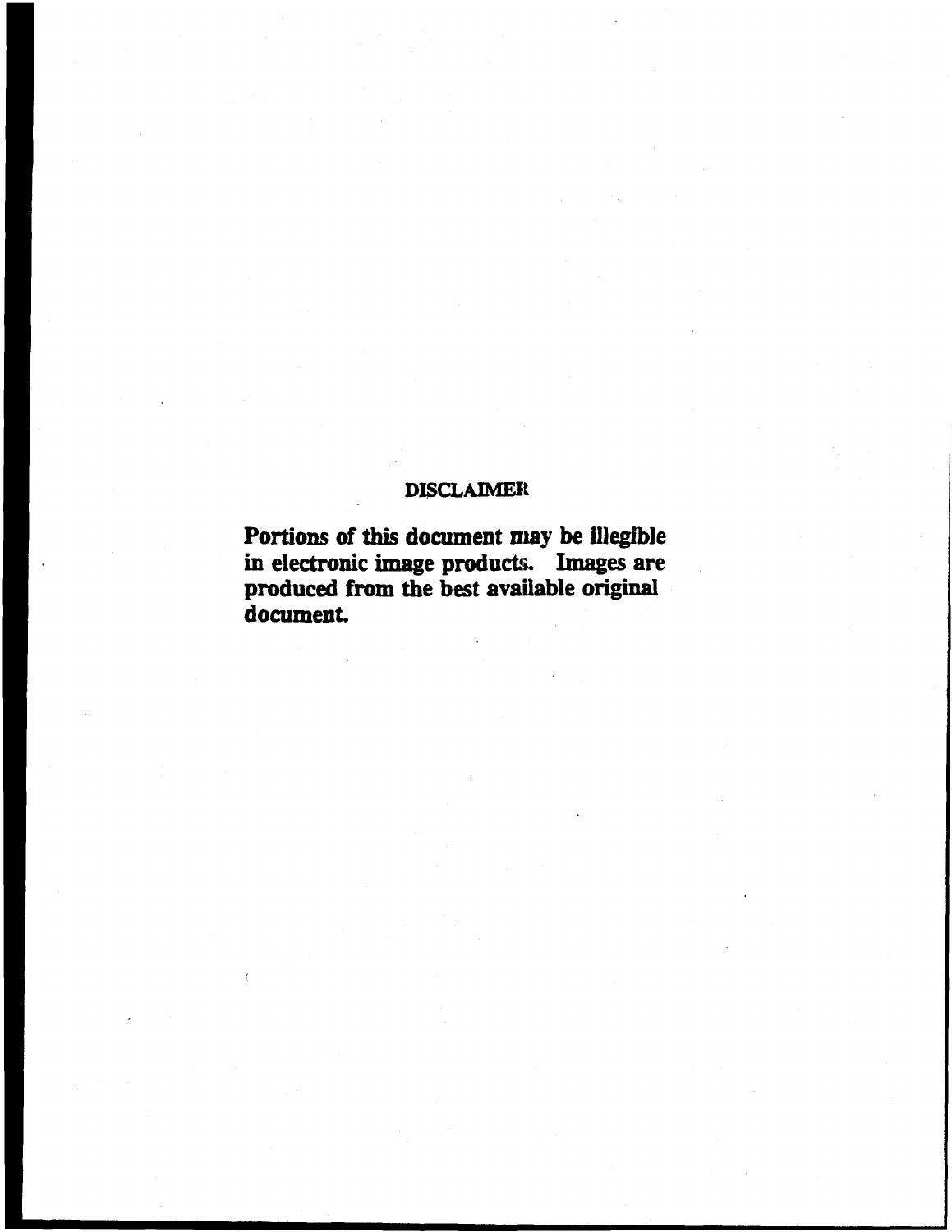# **DISCLAIMER**

**Portions of this document may be illegible** in electronic image products. Images are **produced from the best available original document**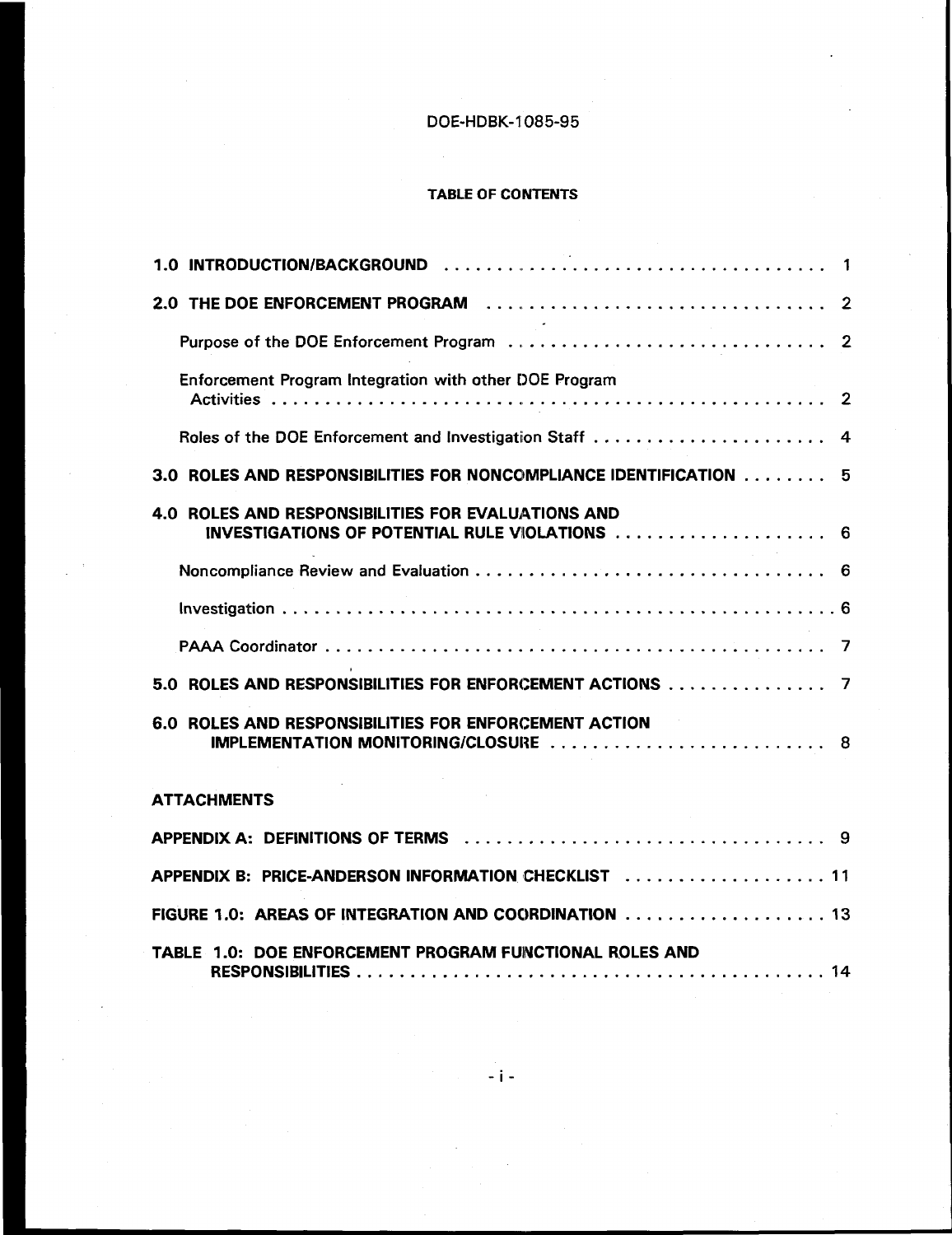## **TABLE OF CONTENTS**

| Enforcement Program Integration with other DOE Program                                               |  |
|------------------------------------------------------------------------------------------------------|--|
| Roles of the DOE Enforcement and Investigation Staff  4                                              |  |
| 3.0 ROLES AND RESPONSIBILITIES FOR NONCOMPLIANCE IDENTIFICATION  5                                   |  |
| 4.0 ROLES AND RESPONSIBILITIES FOR EVALUATIONS AND<br>INVESTIGATIONS OF POTENTIAL RULE VIOLATIONS  6 |  |
|                                                                                                      |  |
|                                                                                                      |  |
|                                                                                                      |  |
| 5.0 ROLES AND RESPONSIBILITIES FOR ENFORCEMENT ACTIONS                                               |  |
| 6.0 ROLES AND RESPONSIBILITIES FOR ENFORCEMENT ACTION<br>IMPLEMENTATION MONITORING/CLOSURE  8        |  |
| <b>ATTACHMENTS</b>                                                                                   |  |
|                                                                                                      |  |
| APPENDIX B: PRICE-ANDERSON INFORMATION CHECKLIST  11                                                 |  |
| FIGURE 1.0: AREAS OF INTEGRATION AND COORDINATION  13                                                |  |
|                                                                                                      |  |

**TABLE 1.0: DOE ENFORCEMENT PROGRAM FUNCTIONAL ROLES AND RESPONSIBILITIES 14**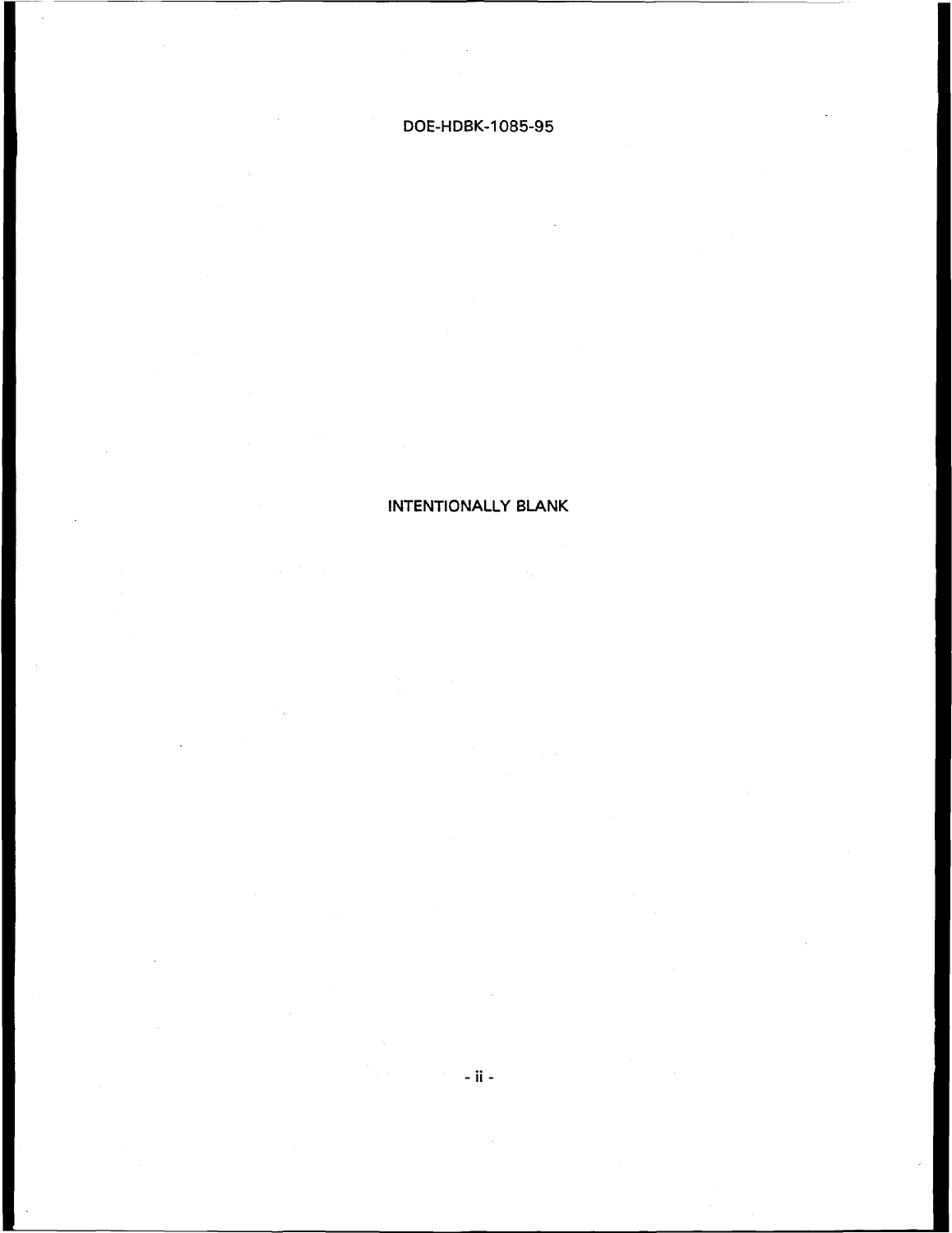# INTENTIONALLY BLANK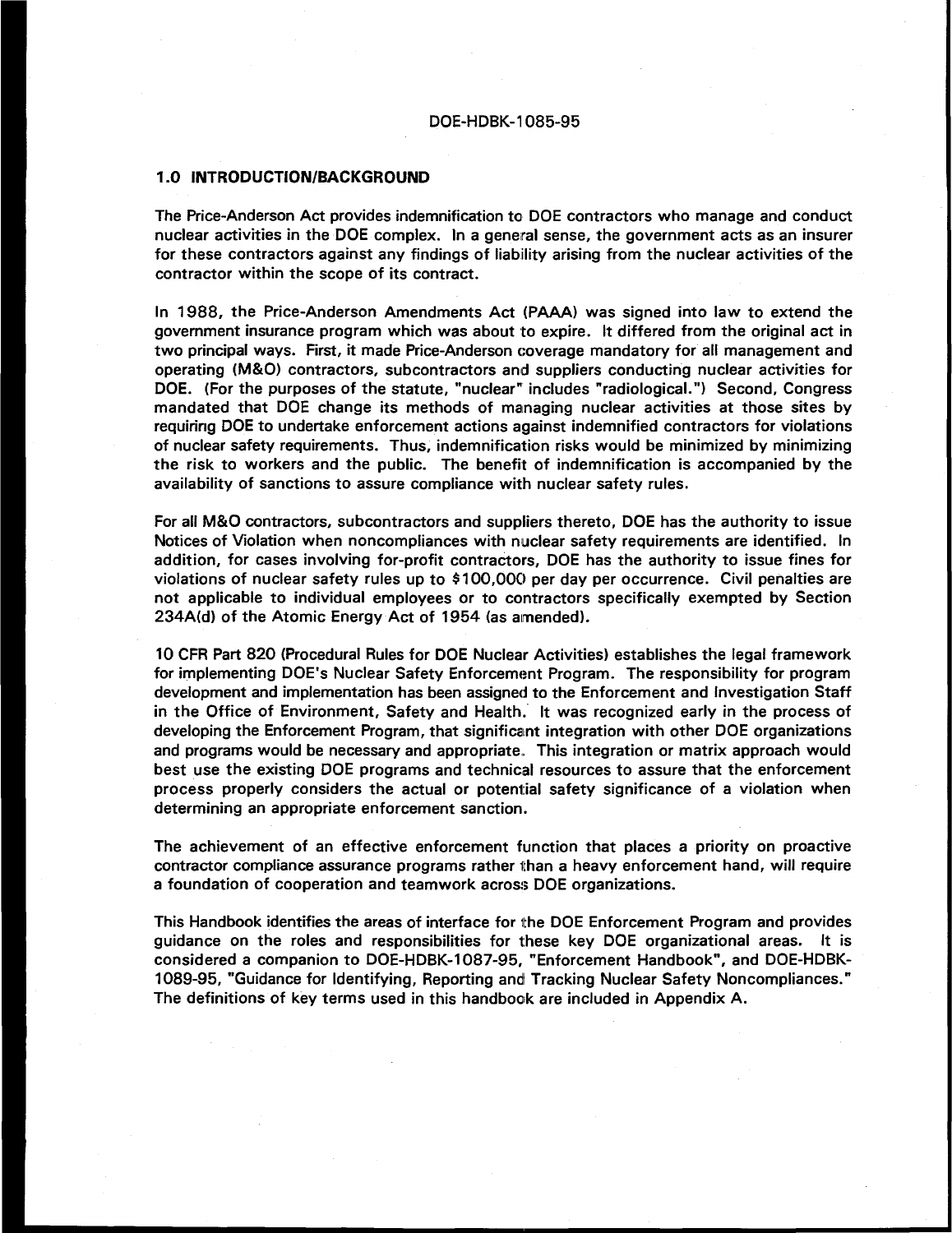#### **1.0 INTRODUCTION/BACKGROUND**

The Price-Anderson Act provides indemnification to DOE contractors who manage and conduct nuclear activities in the DOE complex. In a general sense, the government acts as an insurer for these contractors against any findings of liability arising from the nuclear activities of the contractor within the scope of its contract.

In 1988, the Price-Anderson Amendments Act (PAAA) was signed into law to extend the government insurance program which was about to expire. It differed from the original act in two principal ways. First, it made Price-Anderson coverage mandatory for all management and operating (M&O) contractors, subcontractors and suppliers conducting nuclear activities for DOE. (For the purposes of the statute, "nuclear" includes "radiological.") Second, Congress mandated that DOE change its methods of managing nuclear activities at those sites by requiring DOE to undertake enforcement actions against indemnified contractors for violations of nuclear safety requirements. Thus, indemnification risks would be minimized by minimizing the risk to workers and the public. The benefit of indemnification is accompanied by the availability of sanctions to assure compliance with nuclear safety rules.

For all M&O contractors, subcontractors and suppliers thereto, DOE has the authority to issue Notices of Violation when noncompliances with nuclear safety requirements are identified. In addition, for cases involving for-profit contractors, DOE has the authority to issue fines for violations of nuclear safety rules up to \$100,000 per day per occurrence. Civil penalties are not applicable to individual employees or to contractors specifically exempted by Section 234A(d) of the Atomic Energy Act of 1954 (as amended).

10 CFR Part 820 (Procedural Rules for DOE Nuclear Activities) establishes the legal framework for implementing DOE's Nuclear Safety Enforcement Program. The responsibility for program development and implementation has been assigned to the Enforcement and Investigation Staff in the Office of Environment, Safety and Health. It was recognized early in the process of developing the Enforcement Program, that significant integration with other DOE organizations and programs would be necessary and appropriate. This integration or matrix approach would best use the existing DOE programs and technical resources to assure that the enforcement process properly considers the actual or potential safety significance of a violation when determining an appropriate enforcement sanction.

The achievement of an effective enforcement function that places a priority on proactive contractor compliance assurance programs rather than a heavy enforcement hand, will require a foundation of cooperation and teamwork across DOE organizations.

This Handbook identifies the areas of interface for the DOE Enforcement Program and provides guidance on the roles and responsibilities for these key DOE organizational areas. It is considered a companion to DOE-HDBK-1087-95, "Enforcement Handbook", and DOE-HDBK-1089-95, "Guidance for Identifying, Reporting and Tracking Nuclear Safety Noncompliances." The definitions of key terms used in this handbook are included in Appendix A.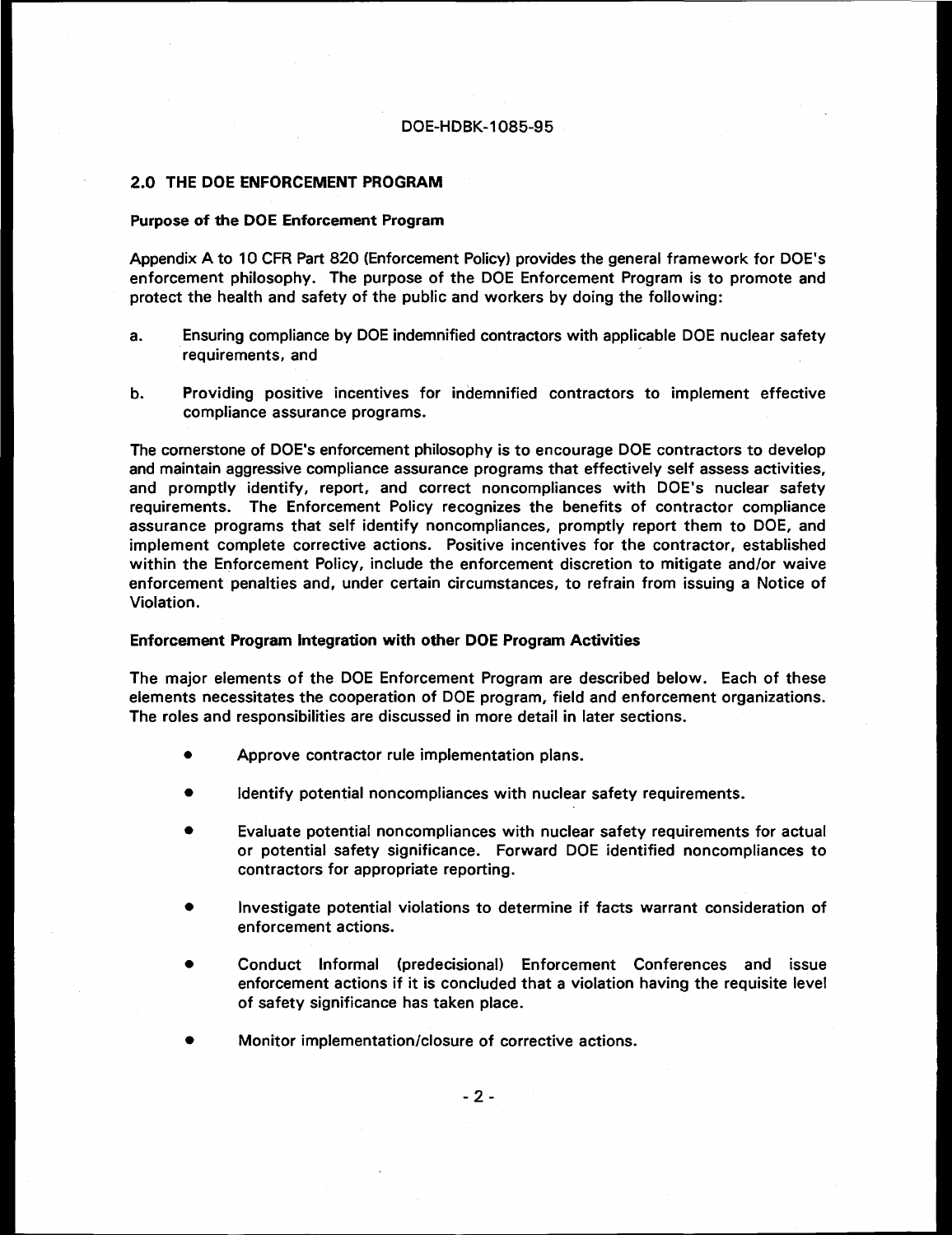#### **2.0 THE DOE ENFORCEMENT PROGRAM**

#### **Purpose of the DOE Enforcement Program**

Appendix A to 10 CFR Part 820 (Enforcement Policy) provides the general framework for DOE's enforcement philosophy. The purpose of the DOE Enforcement Program is to promote and protect the health and safety of the public and workers by doing the following:

- a. Ensuring compliance by DOE indemnified contractors with applicable DOE nuclear safety requirements, and
- b. Providing positive incentives for indemnified contractors to implement effective compliance assurance programs.

The cornerstone of DOE's enforcement philosophy is to encourage DOE contractors to develop and maintain aggressive compliance assurance programs that effectively self assess activities, and promptly identify, report, and correct noncompliances with DOE's nuclear safety requirements. The Enforcement Policy recognizes the benefits of contractor compliance assurance programs that self identify noncompliances, promptly report them to DOE, and implement complete corrective actions. Positive incentives for the contractor, established within the Enforcement Policy, include the enforcement discretion to mitigate and/or waive enforcement penalties and, under certain circumstances, to refrain from issuing a Notice of Violation.

#### **Enforcement Program Integration with other DOE Program Activities**

The major elements of the DOE Enforcement Program are described below. Each of these elements necessitates the cooperation of DOE program, field and enforcement organizations. The roles and responsibilities are discussed in more detail in later sections.

- Approve contractor rule implementation plans.
- Identify potential noncompliances with nuclear safety requirements.
- Evaluate potential noncompliances with nuclear safety requirements for actual or potential safety significance. Forward DOE identified noncompliances to contractors for appropriate reporting.
- Investigate potential violations to determine if facts warrant consideration of enforcement actions.
- Conduct Informal (predecisional) Enforcement Conferences and issue enforcement actions if it is concluded that a violation having the requisite level of safety significance has taken place.
- Monitor implementation/closure of corrective actions.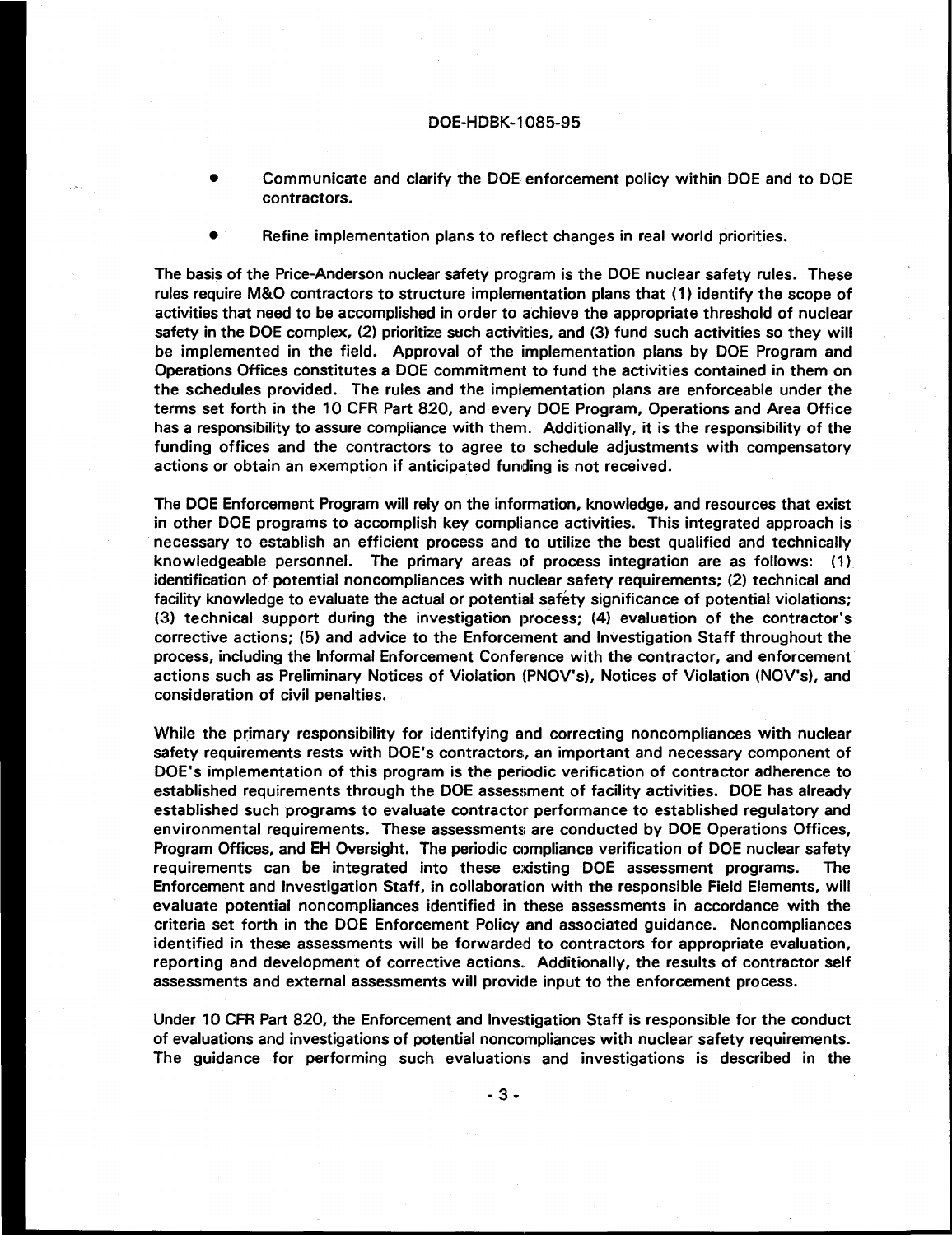- Communicate and clarify the DOE enforcement policy within DOE and to DOE contractors.
- Refine implementation plans to reflect changes in real world priorities.

The basis of the Price-Anderson nuclear safety program is the DOE nuclear safety rules. These rules require M&O contractors to structure implementation plans that (1) identify the scope of activities that need to be accomplished in order to achieve the appropriate threshold of nuclear safety in the DOE complex, (2) prioritize such activities, and (3) fund such activities so they will be implemented in the field. Approval of the implementation plans by DOE Program and Operations Offices constitutes a DOE commitment to fund the activities contained in them on the schedules provided. The rules and the implementation plans are enforceable under the terms set forth in the 10 CFR Part 820, and every DOE Program, Operations and Area Office has a responsibility to assure compliance with them. Additionally, it is the responsibility of the funding offices and the contractors to agree to schedule adjustments with compensatory actions or obtain an exemption if anticipated funding is not received.

The DOE Enforcement Program will rely on the information, knowledge, and resources that exist in other DOE programs to accomplish key compliance activities. This integrated approach is necessary to establish an efficient process and to utilize the best qualified and technically knowledgeable personnel. The primary areas of process integration are as follows: (1) identification of potential noncompliances with nuclear safety requirements; (2) technical and facility knowledge to evaluate the actual or potential safety significance of potential violations; (3) technical support during the investigation process; (4) evaluation of the contractor's corrective actions; (5) and advice to the Enforcement and Investigation Staff throughout the process, including the Informal Enforcement Conference with the contractor, and enforcement actions such as Preliminary Notices of Violation (PNOV's), Notices of Violation (NOV's), and consideration of civil penalties.

While the primary responsibility for identifying and correcting noncompliances with nuclear safety requirements rests with DOE's contractors, an important and necessary component of DOE's implementation of this program is the periodic verification of contractor adherence to established requirements through the DOE assessment of facility activities. DOE has already established such programs to evaluate contractor performance to established regulatory and environmental requirements. These assessments are conducted by DOE Operations Offices, Program Offices, and EH Oversight. The periodic compliance verification of DOE nuclear safety requirements can be integrated into these existing DOE assessment programs. The Enforcement and Investigation Staff, in collaboration with the responsible Field Elements, will evaluate potential noncompliances identified in these assessments in accordance with the criteria set forth in the DOE Enforcement Policy and associated guidance. Noncompliances identified in these assessments will be forwarded to contractors for appropriate evaluation, reporting and development of corrective actions. Additionally, the results of contractor self assessments and external assessments will provide input to the enforcement process.

Under 10 CFR Part 820, the Enforcement and Investigation Staff is responsible for the conduct of evaluations and investigations of potential noncompliances with nuclear safety requirements. The guidance for performing such evaluations and investigations is described in the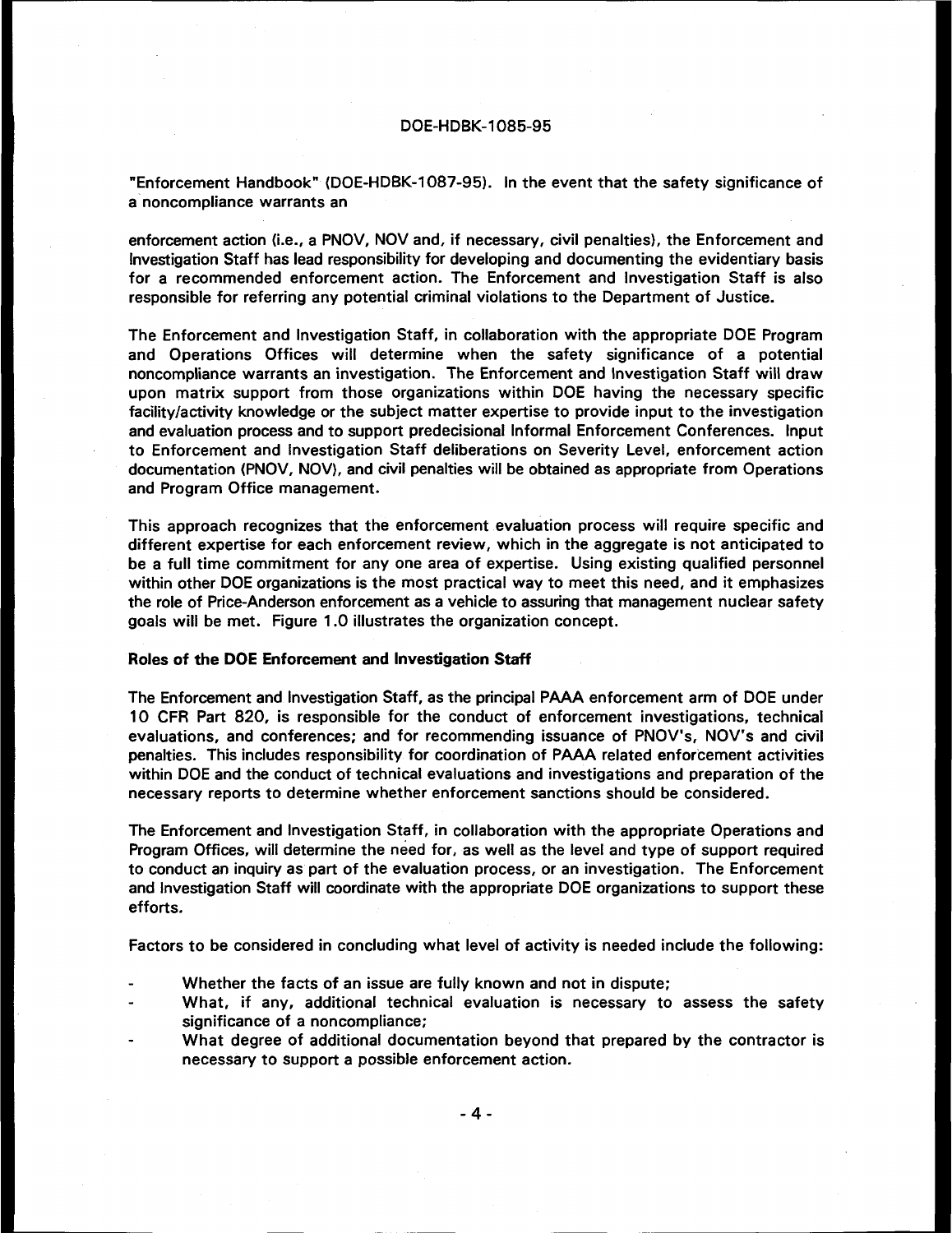"Enforcement Handbook" (DOE-HDBK-1087-95). In the event that the safety significance of a noncompliance warrants an

enforcement action (i.e., a PNOV, NOV and, if necessary, civil penalties), the Enforcement and Investigation Staff has lead responsibility for developing and documenting the evidentiary basis for a recommended enforcement action. The Enforcement and Investigation Staff is also responsible for referring any potential criminal violations to the Department of Justice.

The Enforcement and Investigation Staff, in collaboration with the appropriate DOE Program and Operations Offices will determine when the safety significance of a potential noncompliance warrants an investigation. The Enforcement and Investigation Staff will draw upon matrix support from those organizations within DOE having the necessary specific facility/activity knowledge or the subject matter expertise to provide input to the investigation and evaluation process and to support predecisional Informal Enforcement Conferences. Input to Enforcement and Investigation Staff deliberations on Severity Level, enforcement action documentation (PNOV, NOV), and civil penalties will be obtained as appropriate from Operations and Program Office management.

This approach recognizes that the enforcement evaluation process will require specific and different expertise for each enforcement review, which in the aggregate is not anticipated to be a full time commitment for any one area of expertise. Using existing qualified personnel within other DOE organizations is the most practical way to meet this need, and it emphasizes the role of Price-Anderson enforcement as a vehicle to assuring that management nuclear safety goals will be met. Figure 1.0 illustrates the organization concept.

#### **Roles of the DOE Enforcement and Investigation Staff**

The Enforcement and Investigation Staff, as the principal PAAA enforcement arm of DOE under 10 CFR Part 820, is responsible for the conduct of enforcement investigations, technical evaluations, and conferences; and for recommending issuance of PNOV's, NOV's and civil penalties. This includes responsibility for coordination of PAAA related enforcement activities within DOE and the conduct of technical evaluations and investigations and preparation of the necessary reports to determine whether enforcement sanctions should be considered.

The Enforcement and Investigation Staff, in collaboration with the appropriate Operations and Program Offices, will determine the need for, as well as the level and type of support required to conduct an inquiry as part of the evaluation process, or an investigation. The Enforcement and Investigation Staff will coordinate with the appropriate DOE organizations to support these efforts.

Factors to be considered in concluding what level of activity is needed include the following:

- Whether the facts of an issue are fully known and not in dispute;
- What, if any, additional technical evaluation is necessary to assess the safety significance of a noncompliance;
- What degree of additional documentation beyond that prepared by the contractor is necessary to support a possible enforcement action.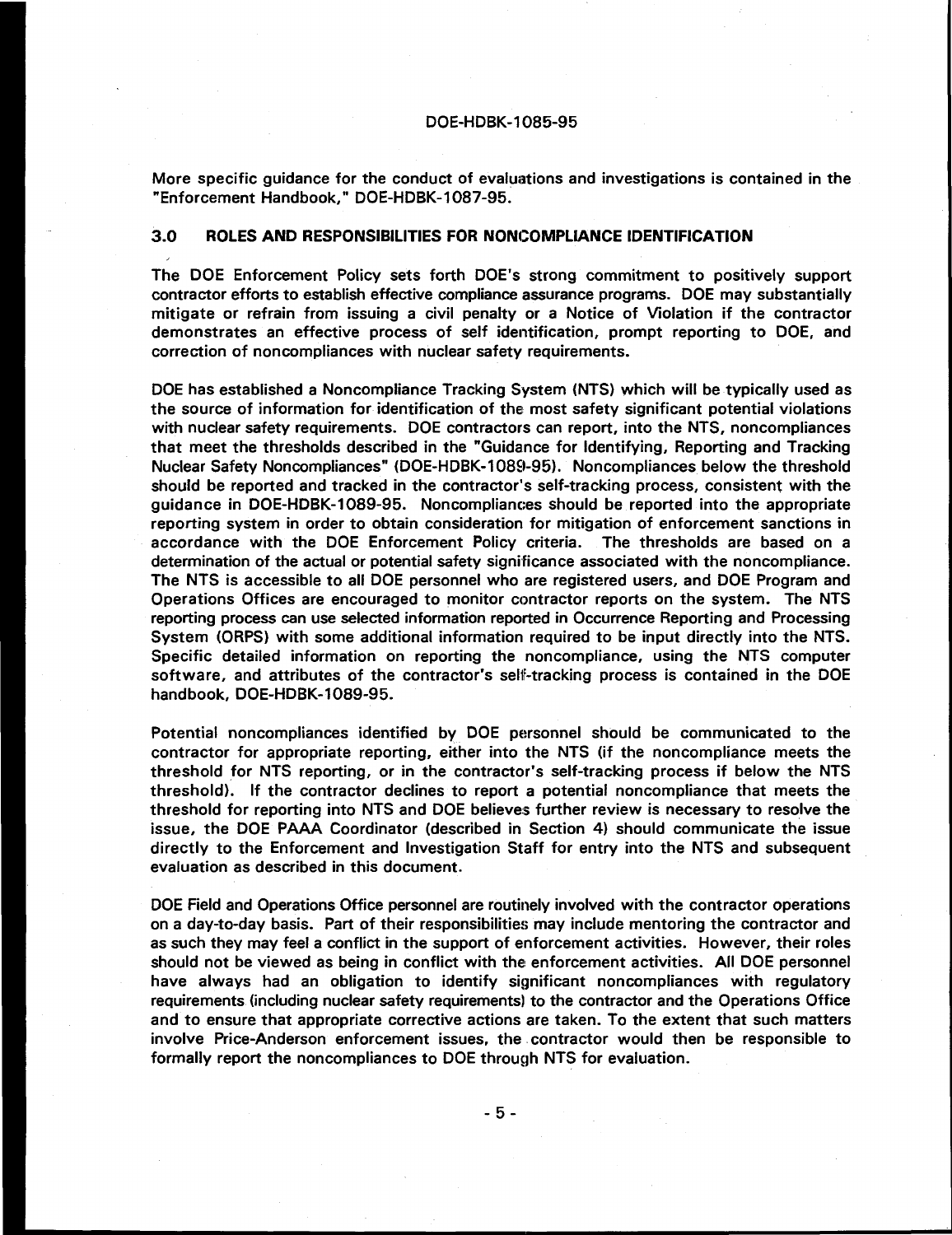More specific guidance for the conduct of evaluations and investigations is contained in the "Enforcement Handbook," DOE-HDBK-1087-95.

#### **3.0 ROLES AND RESPONSIBILITIES FOR NONCOMPLIANCE IDENTIFICATION**

The DOE Enforcement Policy sets forth DOE's strong commitment to positively support contractor efforts to establish effective compliance assurance programs. DOE may substantially mitigate or refrain from issuing a civil penalty or a Notice of violation if the contractor demonstrates an effective process of self identification, prompt reporting to DOE, and correction of noncompliances with nuclear safety requirements.

DOE has established a Noncompliance Tracking System (NTS) which will be typically used as the source of information for identification of the most safety significant potential violations with nuclear safety requirements. DOE contractors can report, into the NTS, noncompliances that meet the thresholds described in the "Guidance for Identifying, Reporting and Tracking Nuclear Safety Noncompliances" (DOE-HDBK-1089-95). Noncompliances below the threshold should be reported and tracked in the contractor's self-tracking process, consistent with the guidance in DOE-HDBK-1089-95. Noncompliances should be reported into the appropriate reporting system in order to obtain consideration for mitigation of enforcement sanctions in accordance with the DOE Enforcement Policy criteria. The thresholds are based on a determination of the actual or potential safety significance associated with the noncompliance. The NTS is accessible to all DOE personnel who are registered users, and DOE Program and Operations Offices are encouraged to monitor contractor reports on the system. The NTS reporting process can use selected information reported in Occurrence Reporting and Processing System (ORPS) with some additional information required to be input directly into the NTS. Specific detailed information on reporting the noncompliance, using the NTS computer software, and attributes of the contractor's self-tracking process is contained in the DOE handbook, DOE-HDBK-1089-95.

Potential noncompliances identified by DOE personnel should be communicated to the contractor for appropriate reporting, either into the NTS (if the noncompliance meets the threshold for NTS reporting, or in the contractor's self-tracking process if below the NTS threshold). If the contractor declines to report a potential noncompliance that meets the threshold for reporting into NTS and DOE believes further review is necessary to resolve the issue, the DOE PAAA Coordinator (described in Section 4) should communicate the issue directly to the Enforcement and Investigation Staff for entry into the NTS and subsequent evaluation as described in this document.

DOE Field and Operations Office personnel are routinely involved with the contractor operations on a day-to-day basis. Part of their responsibilities may include mentoring the contractor and as such they may feel a conflict in the support of enforcement activities. However, their roles should not be viewed as being in conflict with the enforcement activities. All DOE personnel have always had an obligation to identify significant noncompliances with regulatory requirements (including nuclear safety requirements) to the contractor and the Operations Office and to ensure that appropriate corrective actions are taken. To the extent that such matters involve Price-Anderson enforcement issues, the contractor would then be responsible to formally report the noncompliances to DOE through NTS for evaluation.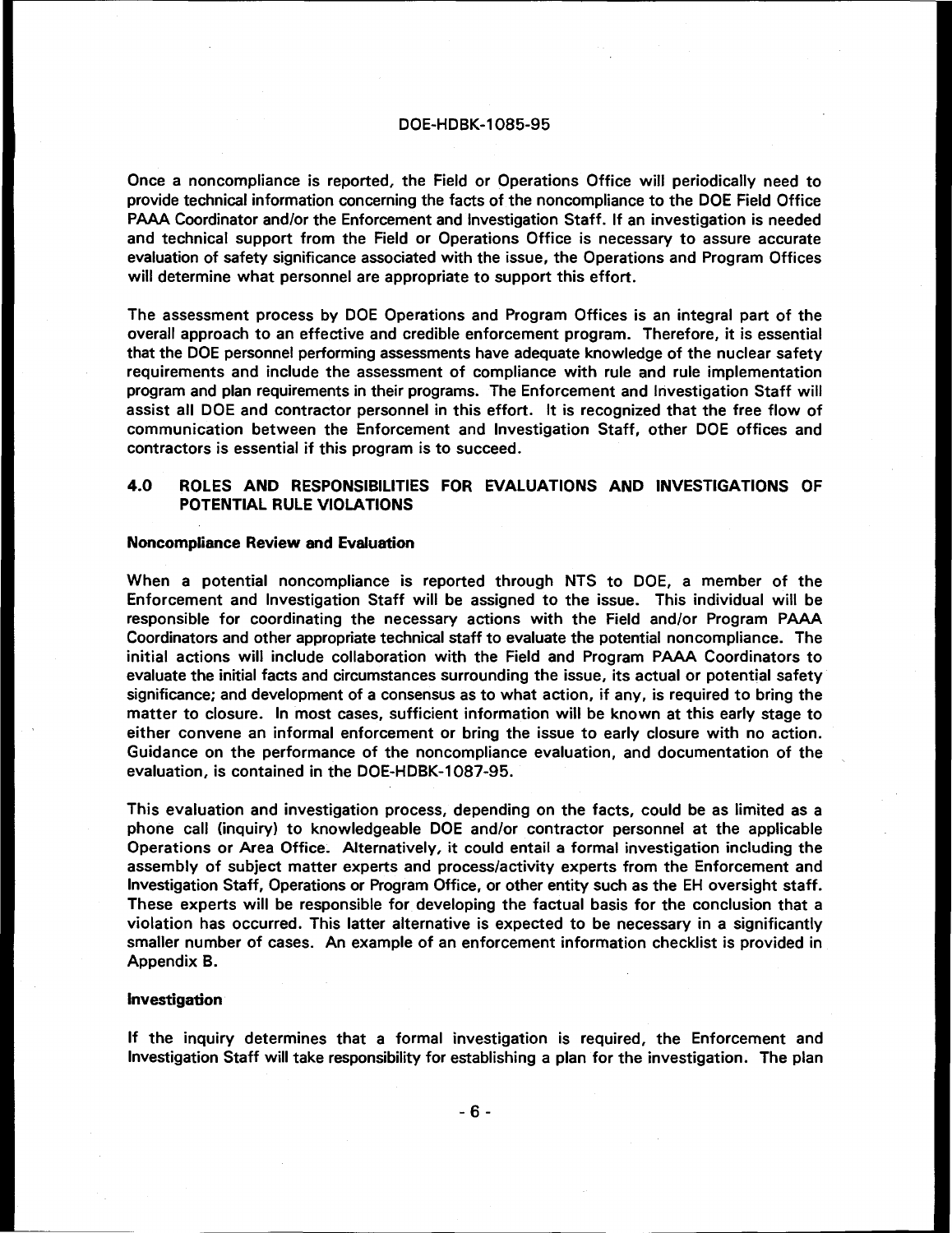Once a noncompliance is reported, the Field or Operations Office will periodically need to provide technical information concerning the facts of the noncompliance to the DOE Field Office PAAA Coordinator and/or the Enforcement and Investigation Staff. If an investigation is needed and technical support from the Field or Operations Office is necessary to assure accurate evaluation of safety significance associated with the issue, the Operations and Program Offices will determine what personnel are appropriate to support this effort.

The assessment process by DOE Operations and Program Offices is an integral part of the overall approach to an effective and credible enforcement program. Therefore, it is essential that the DOE personnel performing assessments have adequate knowledge of the nuclear safety requirements and include the assessment of compliance with rule and rule implementation program and plan requirements in their programs. The Enforcement and Investigation Staff will assist all DOE and contractor personnel in this effort. It is recognized that the free flow of communication between the Enforcement and Investigation Staff, other DOE offices and contractors is essential if this program is to succeed.

#### **4.0 ROLES AND RESPONSIBILITIES FOR EVALUATIONS AND INVESTIGATIONS OF POTENTIAL RULE VIOLATIONS**

#### **Noncompliance Review and Evaluation**

When a potential noncompiiance is reported through NTS to DOE, a member of the Enforcement and Investigation Staff will be assigned to the issue. This individual will be responsible for coordinating the necessary actions with the Field and/or Program PAAA Coordinators and other appropriate technical staff to evaluate the potential noncompliance. The initial actions will include collaboration with the Field and Program PAAA Coordinators to evaluate the initial facts and circumstances surrounding the issue, its actual or potential safety significance; and development of a consensus as to what action, if any, is required to bring the matter to closure. In most cases, sufficient information will be known at this early stage to either convene an informal enforcement or bring the issue to early closure with no action. Guidance on the performance of the noncompliance evaluation, and documentation of the evaluation, is contained in the DOE-HDBK-1087-95.

This evaluation and investigation process, depending on the facts, could be as limited as a phone call (inquiry) to knowledgeable DOE and/or contractor personnel at the applicable Operations or Area Office. Alternatively, it could entail a formal investigation including the assembly of subject matter experts and process/activity experts from the Enforcement and Investigation Staff, Operations or Program Office, or other entity such as the EH oversight staff. These experts will be responsible for developing the factual basis for the conclusion that a violation has occurred. This latter alternative is expected to be necessary in a significantly smaller number of cases. An example of an enforcement information checklist is provided in Appendix B.

#### **Investigation**

If the inquiry determines that a formal investigation is required, the Enforcement and Investigation Staff will take responsibility for establishing a plan for the investigation. The plan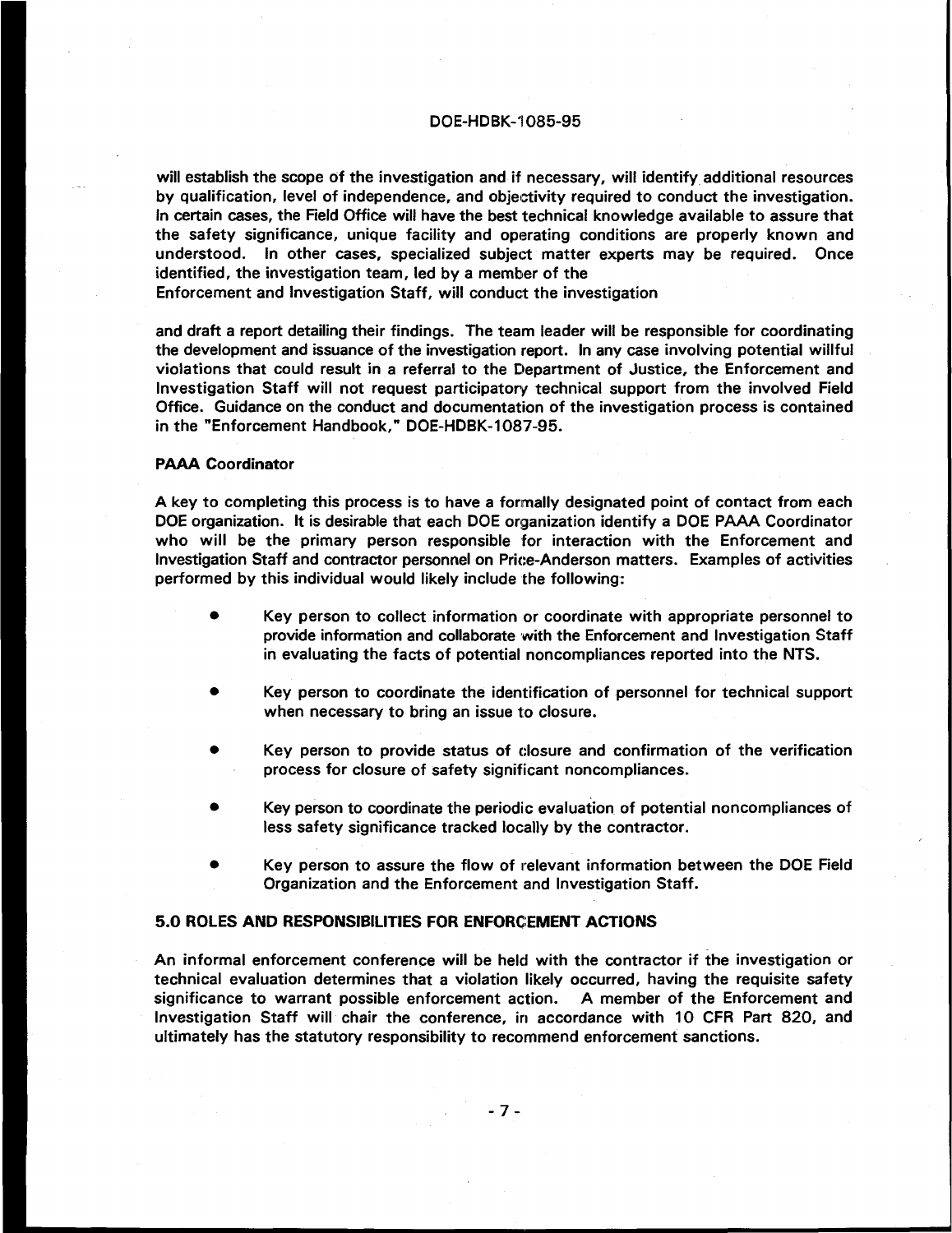will establish the scope of the investigation and if necessary, will identify additional resources by qualification, level of independence, and objectivity required to conduct the investigation. In certain cases, the Field Office will have the best technical knowledge available to assure that the safety significance, unique facility and operating conditions are properly known and understood. In other cases, specialized subject matter experts may be required. Once identified, the investigation team, led by a member of the Enforcement and Investigation Staff, will conduct the investigation

and draft a report detailing their findings. The team leader will be responsible for coordinating the development and issuance of the investigation report. In any case involving potential willful violations that could result in a referral to the Department of Justice, the Enforcement and Investigation Staff will not request participatory technical support from the involved Field Office. Guidance on the conduct and documentation of the investigation process is contained in the "Enforcement Handbook," DOE-HDBK-1087-95.

#### **PAAA Coordinator**

A key to completing this process is to have a formally designated point of contact from each DOE organization. It is desirable that each DOE organization identify a DOE PAAA Coordinator who will be the primary person responsible for interaction with the Enforcement and Investigation Staff and contractor personnel on Price-Anderson matters. Examples of activities performed by this individual would likely include the following:

- Key person to collect information or coordinate with appropriate personnel to provide information and collaborate with the Enforcement and Investigation Staff in evaluating the facts of potential noncompliances reported into the NTS.
- Key person to coordinate the identification of personnel for technical support when necessary to bring an issue to closure.
- Key person to provide status of closure and confirmation of the verification process for closure of safety significant noncompliances.
- Key person to coordinate the periodic evaluation of potential noncompliances of less safety significance tracked locally by the contractor.
- Key person to assure the flow of relevant information between the DOE Field Organization and the Enforcement and Investigation Staff.

#### **5.0 ROLES AND RESPONSIBILITIES FOR ENFORCEMENT ACTIONS**

An informal enforcement conference will be held with the contractor if the investigation or technical evaluation determines that a violation likely occurred, having the requisite safety significance to warrant possible enforcement action. A member of the Enforcement and Investigation Staff will chair the conference, in accordance with 10 CFR Part 820, and ultimately has the statutory responsibility to recommend enforcement sanctions.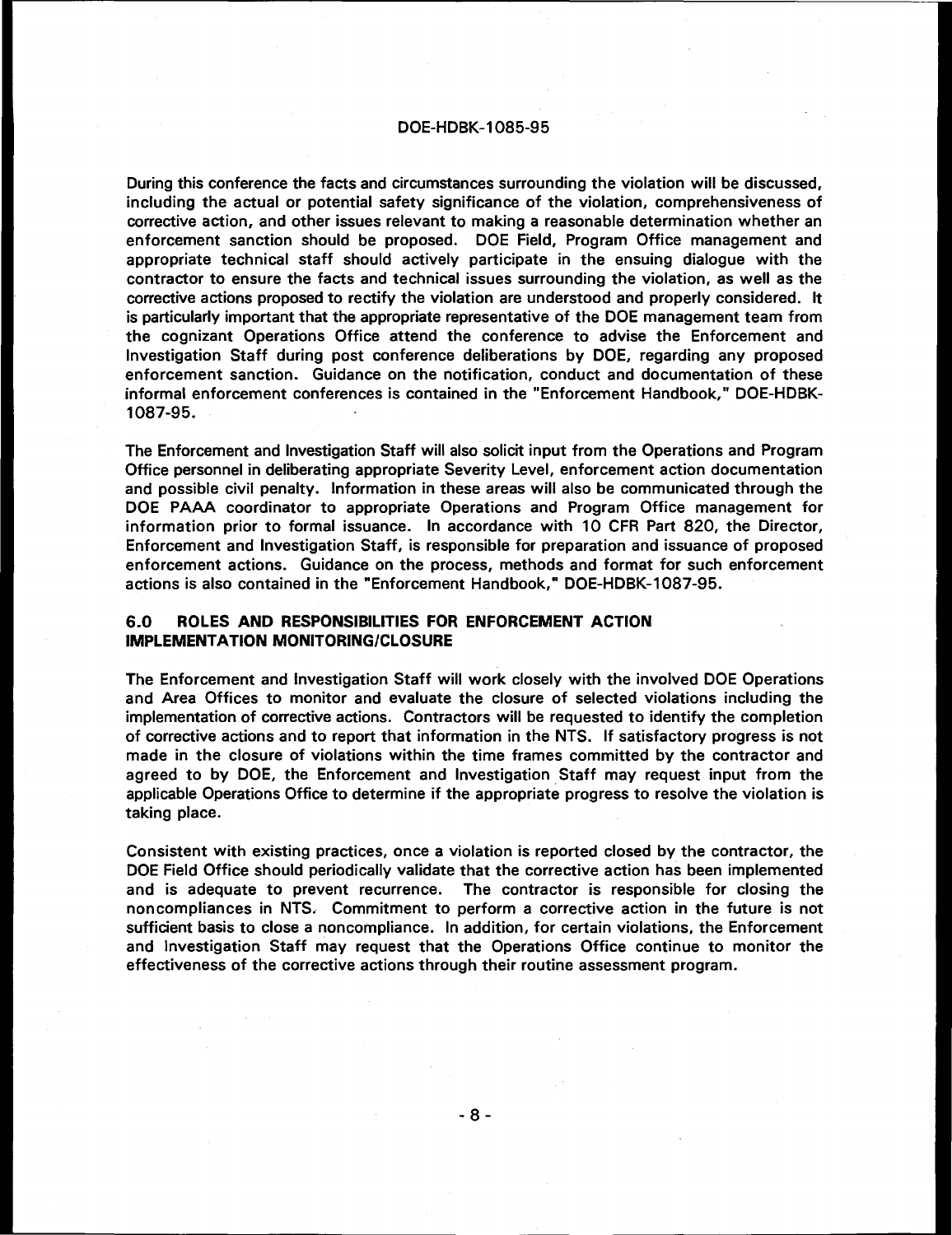During this conference the facts and circumstances surrounding the violation will be discussed, including the actual or potential safety significance of the violation, comprehensiveness of corrective action, and other issues relevant to making a reasonable determination whether an enforcement sanction should be proposed. DOE Field, Program Office management and appropriate technical staff should actively participate in the ensuing dialogue with the contractor to ensure the facts and technical issues surrounding the violation, as well as the corrective actions proposed to rectify the violation are understood and properly considered. It is particularly important that the appropriate representative of the DOE management team from the cognizant Operations Office attend the conference to advise the Enforcement and Investigation Staff during post conference deliberations by DOE, regarding any proposed enforcement sanction. Guidance on the notification, conduct and documentation of these informal enforcement conferences is contained in the "Enforcement Handbook," DOE-HDBK-1087-95.

The Enforcement and Investigation Staff will also solicit input from the Operations and Program Office personnel in deliberating appropriate Severity Level, enforcement action documentation and possible civil penalty. Information in these areas will also be communicated through the DOE PAAA coordinator to appropriate Operations and Program Office management for information prior to formal issuance. In accordance with 10 CFR Part 820, the Director, Enforcement and Investigation Staff, is responsible for preparation and issuance of proposed enforcement actions. Guidance on the process, methods and format for such enforcement actions is also contained in the "Enforcement Handbook," DOE-HDBK-1087-95.

#### **6.0 ROLES AND RESPONSIBILITIES FOR ENFORCEMENT ACTION IMPLEMENTATION MONITORING/CLOSURE**

The Enforcement and Investigation Staff will work closely with the involved DOE Operations and Area Offices to monitor and evaluate the closure of selected violations including the implementation of corrective actions. Contractors will be requested to identify the completion of corrective actions and to report that information in the NTS. If satisfactory progress is not made in the closure of violations within the time frames committed by the contractor and agreed to by DOE, the Enforcement and Investigation Staff may request input from the applicable Operations Office to determine if the appropriate progress to resolve the violation is taking place.

Consistent with existing practices, once a violation is reported closed by the contractor, the DOE Field Office should periodically validate that the corrective action has been implemented and is adequate to prevent recurrence. The contractor is responsible for closing the noncompiiances in NTS. Commitment to perform a corrective action in the future is not sufficient basis to close a noncompliance. In addition, for certain violations, the Enforcement and Investigation Staff may request that the Operations Office continue to monitor the effectiveness of the corrective actions through their routine assessment program.

- 8 -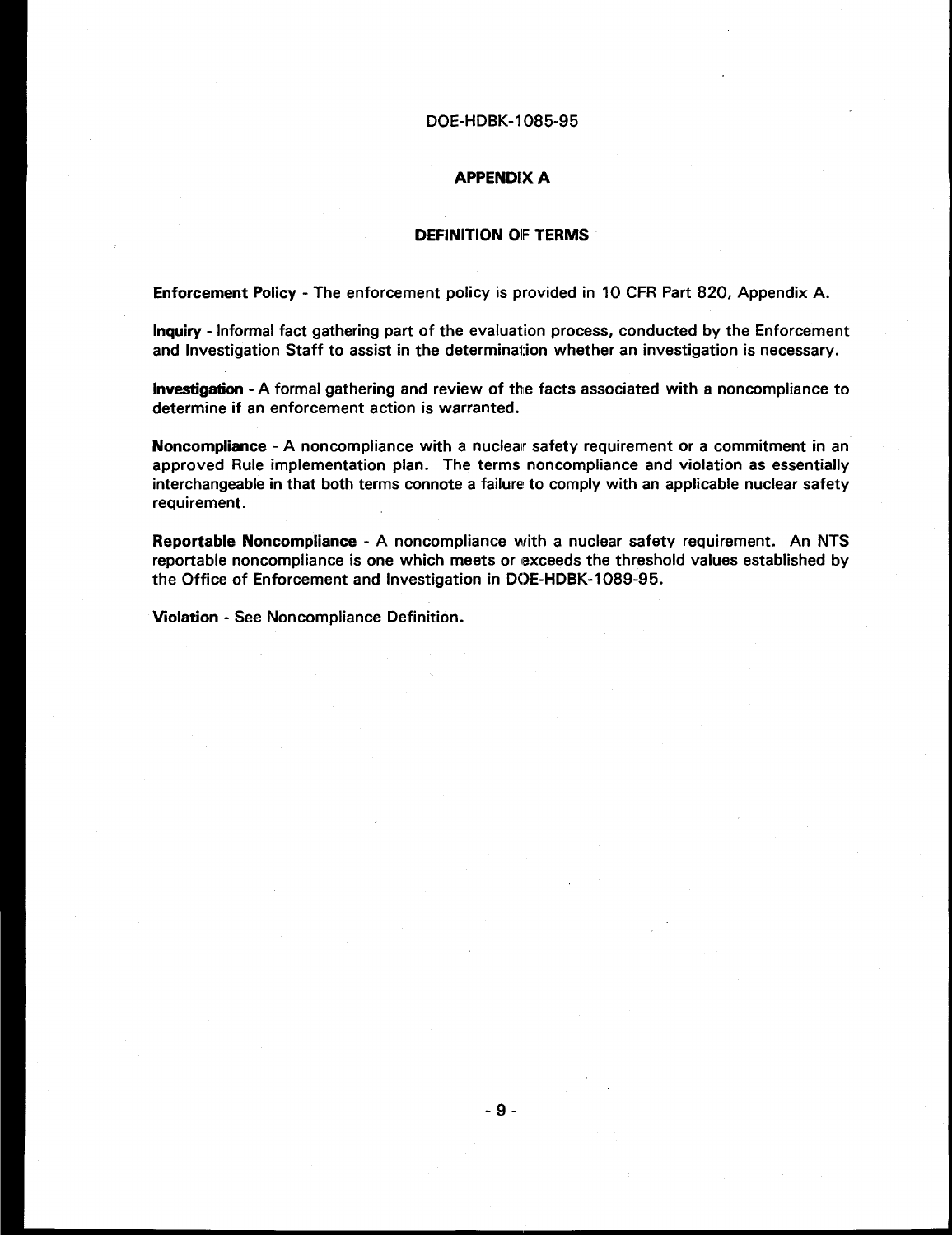#### **APPENDIX A**

#### **DEFINITION OF TERMS**

**Enforcement Policy** - The enforcement policy is provided in 10 CFR Part 820, Appendix A.

**Inquiry** - Informal fact gathering part of the evaluation process, conducted by the Enforcement and Investigation Staff to assist in the determination whether an investigation is necessary.

**Investigation** - **A** formal gathering and review of the facts associated with a noncompliance to determine if an enforcement action is warranted.

**Noncompliance** - A noncompliance with a nuclear safety requirement or a commitment in an approved Rule implementation plan. The terms noncompliance and violation as essentially interchangeable in that both terms connote a failure to comply with an applicable nuclear safety requirement.

**Reportabie Noncompliance** - A noncompliance with a nuclear safety requirement. An NTS reportabie noncompliance is one which meets or exceeds the threshold values established by the Office of Enforcement and Investigation in DOE-HDBK-1089-95.

**Violation** - See Noncompliance Definition.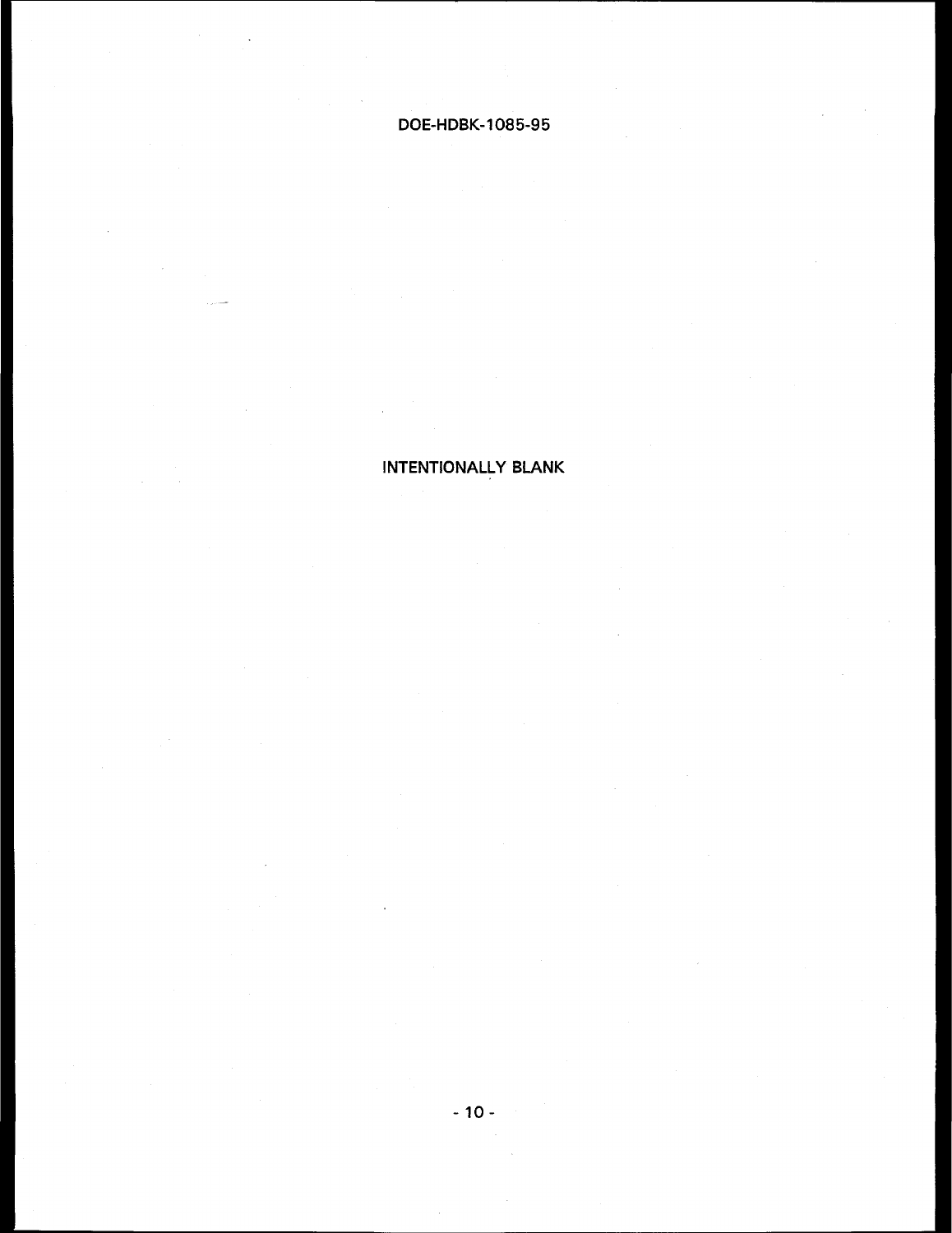# INTENTIONALLY BLANK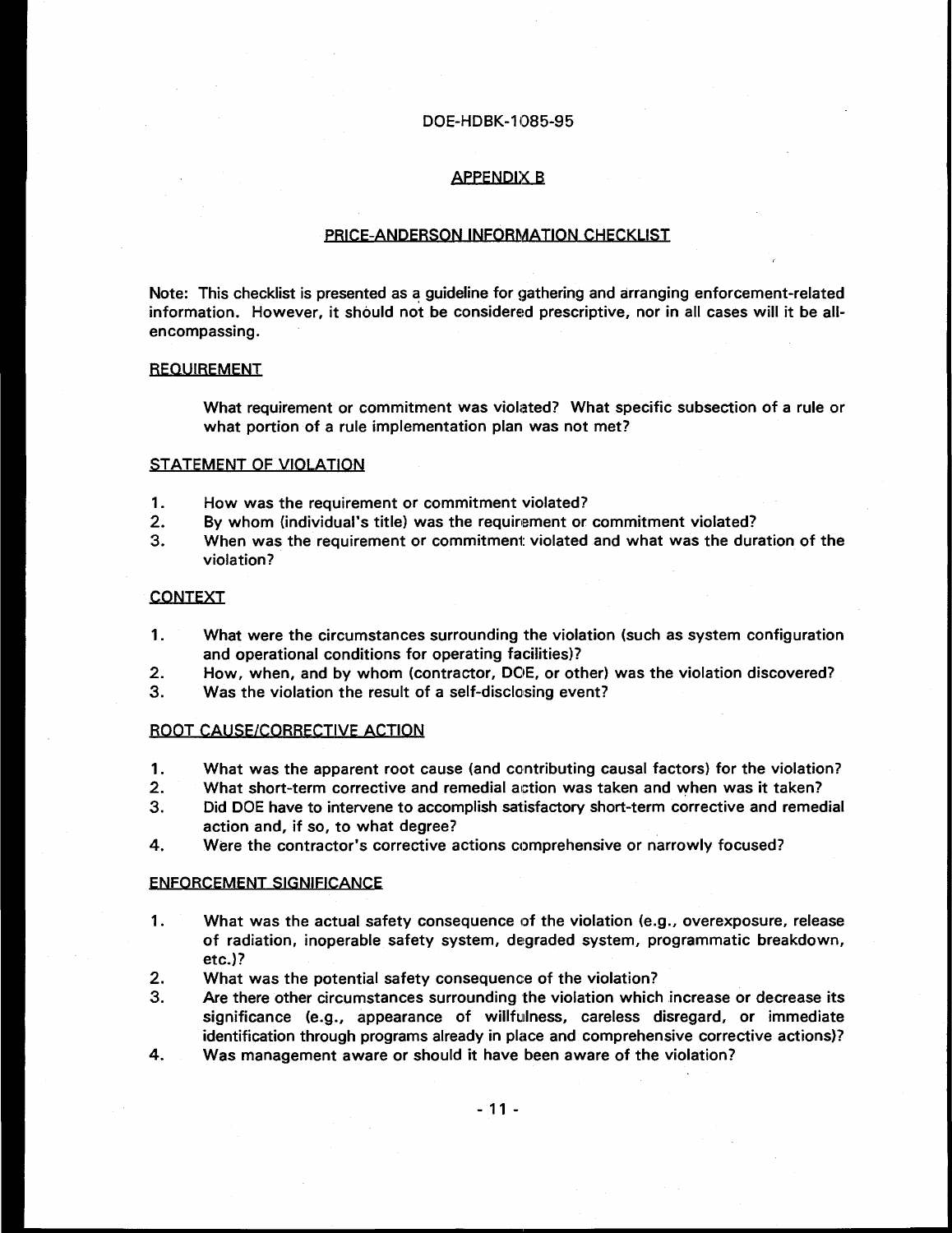#### APPENDIX B

#### PRICE-ANDERSON INFORMATION! CHECKLIST

Note: This checklist is presented as a guideline for gathering and arranging enforcement-related information. However, it should not be considered prescriptive, nor in all cases will it be allencompassing.

## REQUIREMENT

What requirement or commitment was violated? What specific subsection of a rule or what portion of a rule implementation plan was not met?

#### STATEMENT OF VIOLATION

- 1. How was the requirement or commitment violated?
- 2. By whom (individual's title) was the requirement or commitment violated?
- 3. When was the requirement or commitment violated and what was the duration of the violation?

#### **CONTEXT**

- 1. What were the circumstances surrounding the violation (such as system configuration and operational conditions for operating facilities)?
- 2. How, when, and by whom (contractor, DOE, or other) was the violation discovered?
- 3. Was the violation the result of a self-disclosing event?

#### ROOT CAUSE/CORRECTIVE ACTION

- 1. What was the apparent root cause (and contributing causal factors) for the violation?
- 2. What short-term corrective and remedial action was taken and when was it taken?
- 3. Did DOE have to intervene to accomplish satisfactory short-term corrective and remedial action and, if so, to what degree?
- 4. Were the contractor's corrective actions comprehensive or narrowly focused?

#### ENFORCEMENT SIGNIFICANCE

- 1. What was the actual safety consequence of the violation (e.g., overexposure, release of radiation, inoperable safety system, degraded system, programmatic breakdown, etc.)?
- 2. What was the potential safety consequence of the violation?
- 3. Are there other circumstances surrounding the violation which increase or decrease its significance (e.g., appearance of willfulness, careless disregard, or immediate identification through programs already in place and comprehensive corrective actions)?
- 4. Was management aware or should it have been aware of the violation?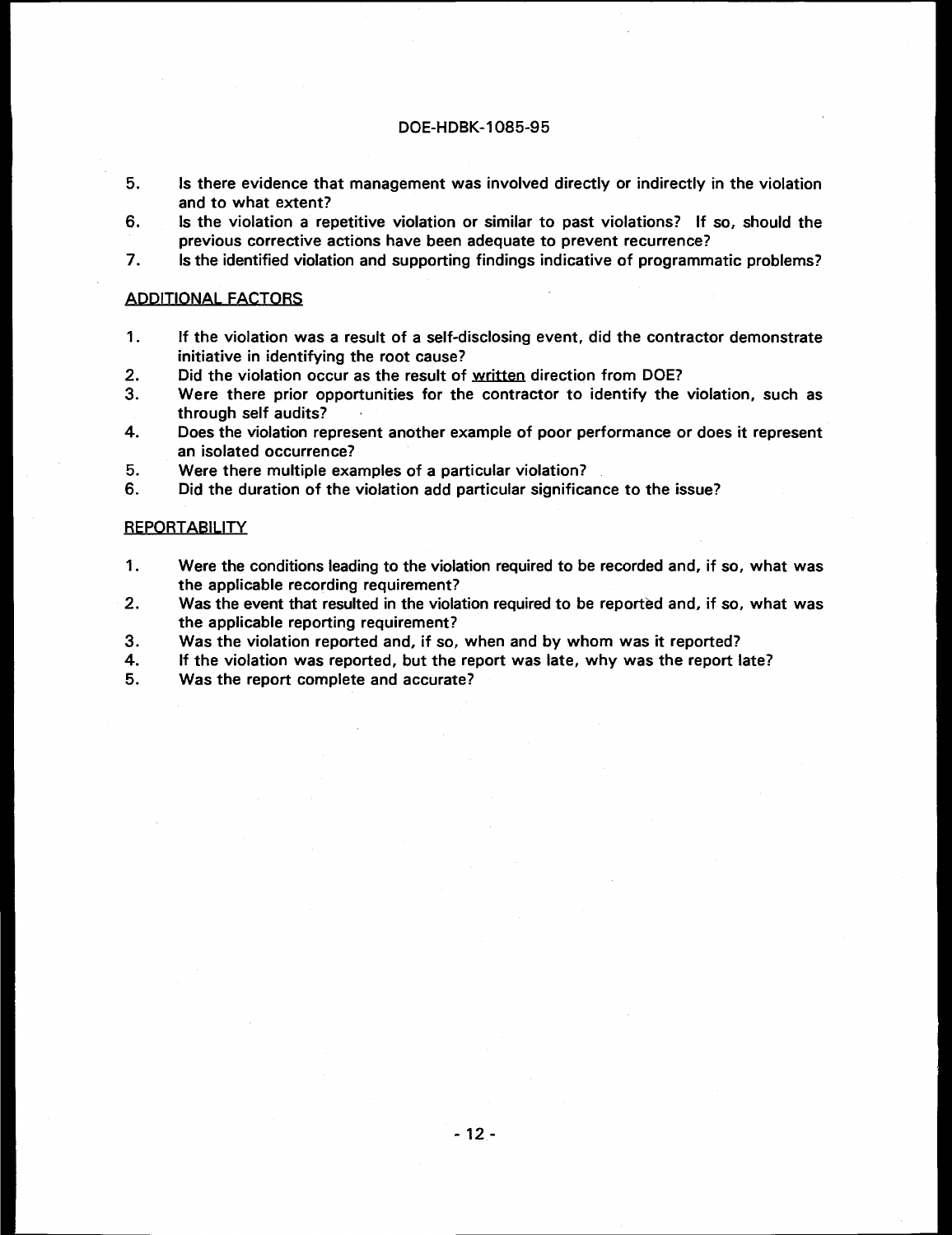- 5. Is there evidence that management was involved directly or indirectly in the violation and to what extent?
- 6. Is the violation a repetitive violation or similar to past violations? If so, should the previous corrective actions have been adequate to prevent recurrence?
- 7. Is the identified violation and supporting findings indicative of programmatic problems?

#### ADDITIONAL FACTORS

- 1. If the violation was a result of a self-disclosing event, did the contractor demonstrate initiative in identifying the root cause?
- 2. Did the violation occur as the result of written direction from DOE?
- 3. Were there prior opportunities for the contractor to identify the violation, such as through self audits?
- 4. Does the violation represent another example of poor performance or does it represent an isolated occurrence?
- 5. Were there multiple examples of a particular violation?
- 6. Did the duration of the violation add particular significance to the issue?

#### REPORTABILITY

- 1. Were the conditions leading to the violation required to be recorded and, if so, what was the applicable recording requirement?
- 2. Was the event that resulted in the violation required to be reported and, if so, what was the applicable reporting requirement?
- 3. Was the violation reported and, if so, when and by whom was it reported?
- 4. If the violation was reported, but the report was late, why was the report late?
- 5. Was the report complete and accurate?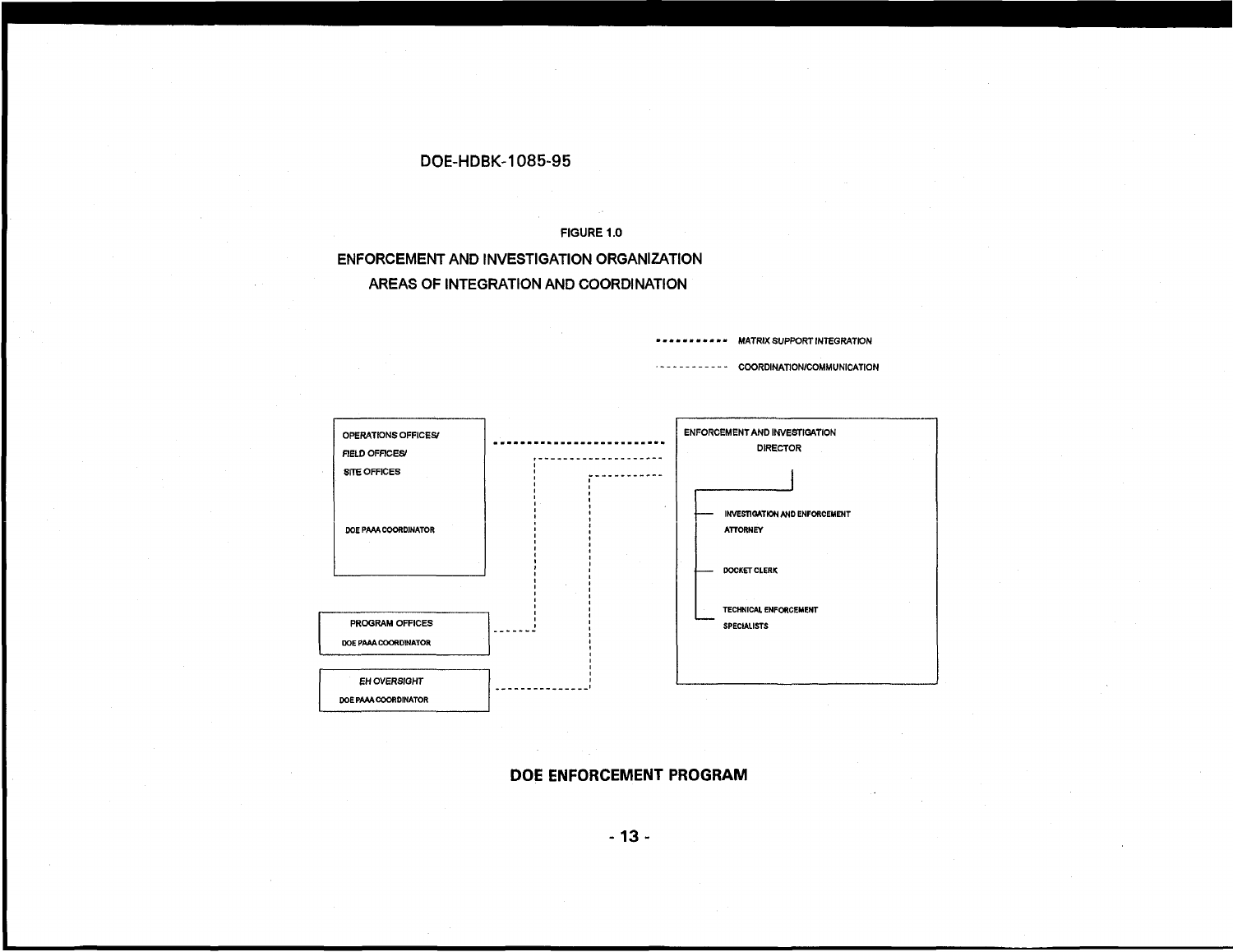#### **FIGURE 1.0**

# ENFORCEMENT AND INVESTIGATION ORGANIZATION AREAS OF INTEGRATION AND COORDINATION

**MATRIX SUPPORT INTEGRATION**

**COORDINATION/COMMUNICATION**



## **DOE ENFORCEMENT PROGRAM**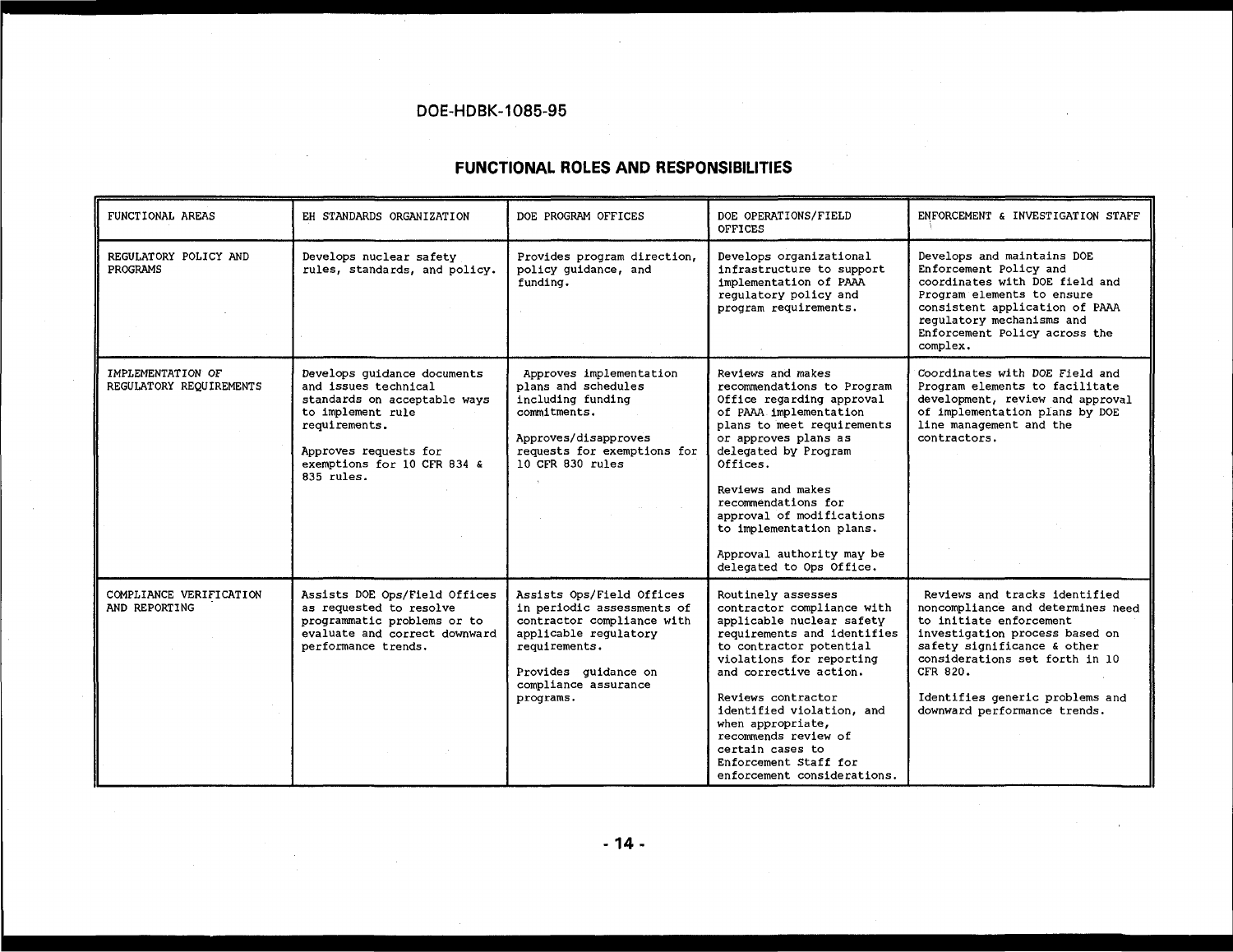# **FUNCTIONAL ROLES AND RESPONSIBILITIES**

| FUNCTIONAL AREAS                             | EH STANDARDS ORGANIZATION                                                                                                                                                                       | DOE PROGRAM OFFICES                                                                                                                                                                          | DOE OPERATIONS/FIELD<br><b>OFFICES</b>                                                                                                                                                                                                                                                                                                                                    | ENFORCEMENT & INVESTIGATION STAFF                                                                                                                                                                                                                                               |
|----------------------------------------------|-------------------------------------------------------------------------------------------------------------------------------------------------------------------------------------------------|----------------------------------------------------------------------------------------------------------------------------------------------------------------------------------------------|---------------------------------------------------------------------------------------------------------------------------------------------------------------------------------------------------------------------------------------------------------------------------------------------------------------------------------------------------------------------------|---------------------------------------------------------------------------------------------------------------------------------------------------------------------------------------------------------------------------------------------------------------------------------|
| REGULATORY POLICY AND<br><b>PROGRAMS</b>     | Develops nuclear safety<br>rules, standards, and policy.                                                                                                                                        | Provides program direction,<br>policy guidance, and<br>funding.                                                                                                                              | Develops organizational<br>infrastructure to support<br>implementation of PAAA<br>regulatory policy and<br>program requirements.                                                                                                                                                                                                                                          | Develops and maintains DOE<br>Enforcement Policy and<br>coordinates with DOE field and<br>Program elements to ensure<br>consistent application of PAAA<br>requlatory mechanisms and<br>Enforcement Policy across the<br>complex.                                                |
| IMPLEMENTATION OF<br>REGULATORY REQUIREMENTS | Develops quidance documents<br>and issues technical<br>standards on acceptable ways<br>to implement rule<br>requirements.<br>Approves requests for<br>exemptions for 10 CFR 834 &<br>835 rules. | Approves implementation<br>plans and schedules<br>including funding<br>commitments.<br>Approves/disapproves<br>requests for exemptions for<br>$10$ CFR 830 rules                             | Reviews and makes<br>recommendations to Program<br>Office regarding approval<br>of PAAA implementation<br>plans to meet requirements<br>or approves plans as<br>delegated by Program<br>Offices.<br>Reviews and makes<br>recommendations for<br>approval of modifications<br>to implementation plans.<br>Approval authority may be<br>delegated to Ops Office.            | Coordinates with DOE Field and<br>Program elements to facilitate<br>development, review and approval<br>of implementation plans by DOE<br>line management and the<br>contractors.                                                                                               |
| COMPLIANCE VERIFICATION<br>AND REPORTING     | Assists DOE Ops/Field Offices<br>as requested to resolve<br>programmatic problems or to<br>evaluate and correct downward<br>performance trends.                                                 | Assists Ops/Field Offices<br>in periodic assessments of<br>contractor compliance with<br>applicable regulatory<br>requirements.<br>Provides quidance on<br>compliance assurance<br>programs. | Routinely assesses<br>contractor compliance with<br>applicable nuclear safety<br>requirements and identifies<br>to contractor potential<br>violations for reporting<br>and corrective action.<br>Reviews contractor<br>identified violation, and<br>when appropriate,<br>recommends review of<br>certain cases to<br>Enforcement Staff for<br>enforcement considerations. | Reviews and tracks identified<br>noncompliance and determines need<br>to initiate enforcement<br>investigation process based on<br>safety significance & other<br>considerations set forth in 10<br>CFR 820.<br>Identifies generic problems and<br>downward performance trends. |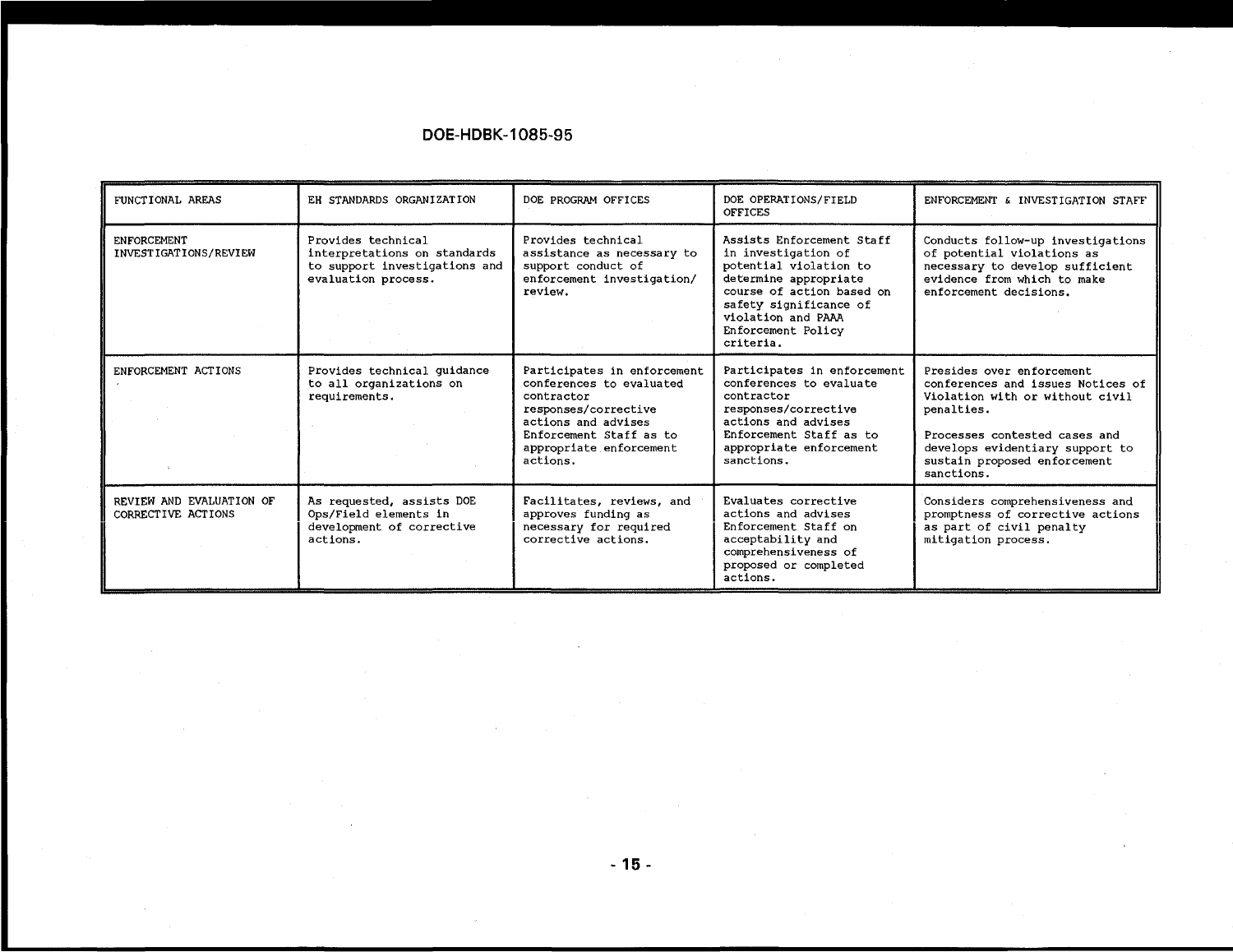| FUNCTIONAL AREAS                               | EH STANDARDS ORGANIZATION                                                                                  | DOE PROGRAM OFFICES                                                                                                                                                                    | DOE OPERATIONS/FIELD<br><b>OFFICES</b>                                                                                                                                                                              | ENFORCEMENT & INVESTIGATION STAFF                                                                                                                                                                                                 |
|------------------------------------------------|------------------------------------------------------------------------------------------------------------|----------------------------------------------------------------------------------------------------------------------------------------------------------------------------------------|---------------------------------------------------------------------------------------------------------------------------------------------------------------------------------------------------------------------|-----------------------------------------------------------------------------------------------------------------------------------------------------------------------------------------------------------------------------------|
| <b>ENFORCEMENT</b><br>INVESTIGATIONS/REVIEW    | Provides technical<br>interpretations on standards<br>to support investigations and<br>evaluation process. | Provides technical<br>assistance as necessary to<br>support conduct of<br>enforcement investigation/<br>review.                                                                        | Assists Enforcement Staff<br>in investigation of<br>potential violation to<br>determine appropriate<br>course of action based on<br>safety significance of<br>violation and PAAA<br>Enforcement Policy<br>criteria. | Conducts follow-up investigations<br>of potential violations as<br>necessary to develop sufficient<br>evidence from which to make<br>enforcement decisions.                                                                       |
| ENFORCEMENT ACTIONS                            | Provides technical guidance<br>to all organizations on<br>requirements.                                    | Participates in enforcement<br>conferences to evaluated<br>contractor<br>responses/corrective<br>actions and advises<br>Enforcement Staff as to<br>appropriate enforcement<br>actions. | Participates in enforcement<br>conferences to evaluate<br>contractor<br>responses/corrective<br>actions and advises<br>Enforcement Staff as to<br>appropriate enforcement<br>sanctions.                             | Presides over enforcement<br>conferences and issues Notices of<br>Violation with or without civil<br>penalties.<br>Processes contested cases and<br>develops evidentiary support to<br>sustain proposed enforcement<br>sanctions. |
| REVIEW AND EVALUATION OF<br>CORRECTIVE ACTIONS | As requested, assists DOE<br>Ops/Field elements in<br>development of corrective<br>actions.                | Facilitates, reviews, and<br>approves funding as<br>necessary for required<br>corrective actions.                                                                                      | Evaluates corrective<br>actions and advises<br>Enforcement Staff on<br>acceptability and<br>comprehensiveness of<br>proposed or completed<br>actions.                                                               | Considers comprehensiveness and<br>promptness of corrective actions<br>as part of civil penalty<br>mitigation process.                                                                                                            |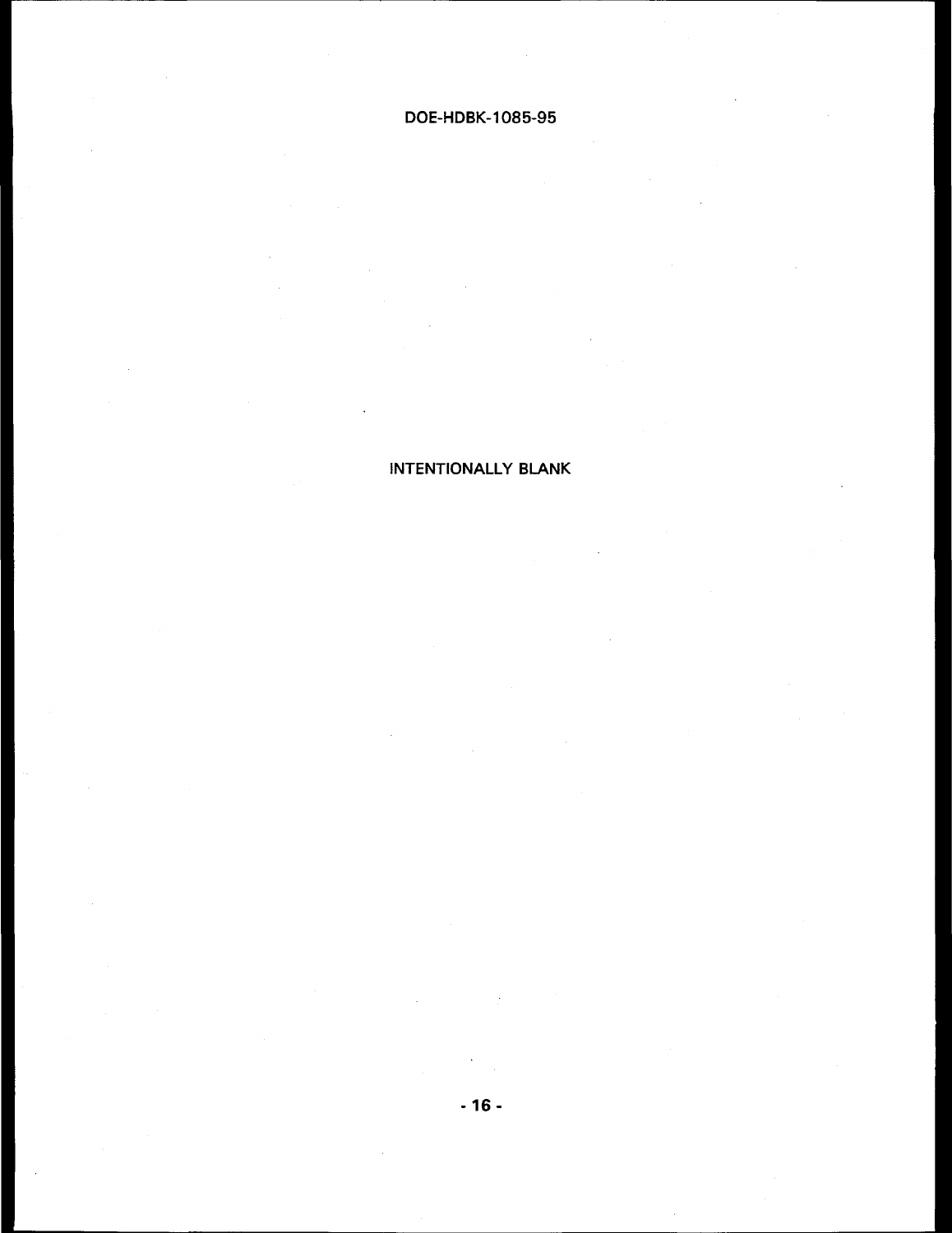INTENTIONALLY BLANK